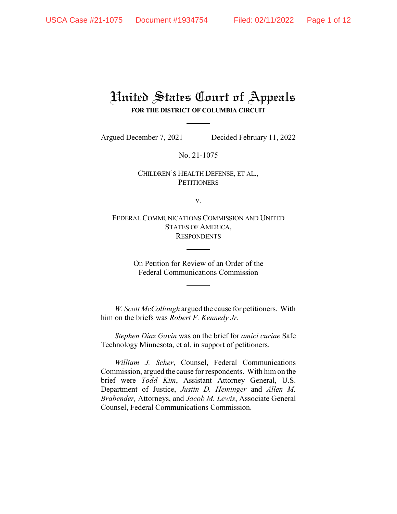## United States Court of Appeals **FOR THE DISTRICT OF COLUMBIA CIRCUIT**

Argued December 7, 2021 Decided February 11, 2022

No. 21-1075

## CHILDREN'S HEALTH DEFENSE, ET AL., **PETITIONERS**

v.

FEDERAL COMMUNICATIONS COMMISSION AND UNITED STATES OF AMERICA, **RESPONDENTS** 

> On Petition for Review of an Order of the Federal Communications Commission

*W. Scott McCollough* argued the cause for petitioners. With him on the briefs was *Robert F. Kennedy Jr.*

*Stephen Diaz Gavin* was on the brief for *amici curiae* Safe Technology Minnesota, et al. in support of petitioners.

*William J. Scher*, Counsel, Federal Communications Commission, argued the cause for respondents. With him on the brief were *Todd Kim*, Assistant Attorney General, U.S. Department of Justice, *Justin D. Heminger* and *Allen M. Brabender,* Attorneys, and *Jacob M. Lewis*, Associate General Counsel, Federal Communications Commission.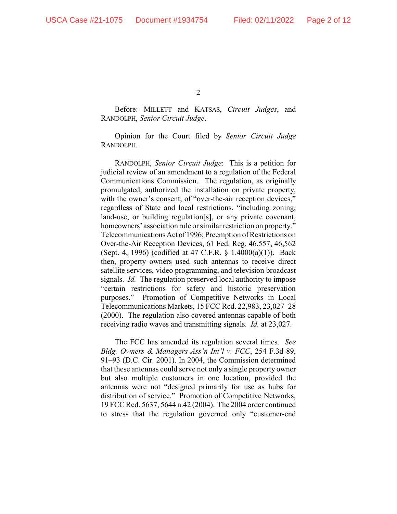Before: MILLETT and KATSAS, *Circuit Judges*, and RANDOLPH, *Senior Circuit Judge*.

Opinion for the Court filed by *Senior Circuit Judge* RANDOLPH.

RANDOLPH, *Senior Circuit Judge*: This is a petition for judicial review of an amendment to a regulation of the Federal Communications Commission. The regulation, as originally promulgated, authorized the installation on private property, with the owner's consent, of "over-the-air reception devices," regardless of State and local restrictions, "including zoning, land-use, or building regulation[s], or any private covenant, homeowners' association rule or similar restriction on property." TelecommunicationsAct of 1996; Preemption of Restrictions on Over-the-Air Reception Devices, 61 Fed. Reg. 46,557, 46,562 (Sept. 4, 1996) (codified at 47 C.F.R. § 1.4000(a)(1)). Back then, property owners used such antennas to receive direct satellite services, video programming, and television broadcast signals. *Id.* The regulation preserved local authority to impose "certain restrictions for safety and historic preservation purposes." Promotion of Competitive Networks in Local Telecommunications Markets, 15 FCC Rcd. 22,983, 23,027–28 (2000). The regulation also covered antennas capable of both receiving radio waves and transmitting signals. *Id.* at 23,027.

The FCC has amended its regulation several times. *See Bldg. Owners & Managers Ass'n Int'l v. FCC*, 254 F.3d 89, 91–93 (D.C. Cir. 2001). In 2004, the Commission determined that these antennas could serve not only a single property owner but also multiple customers in one location, provided the antennas were not "designed primarily for use as hubs for distribution of service." Promotion of Competitive Networks, 19 FCC Rcd. 5637, 5644 n.42 (2004). The 2004 order continued to stress that the regulation governed only "customer-end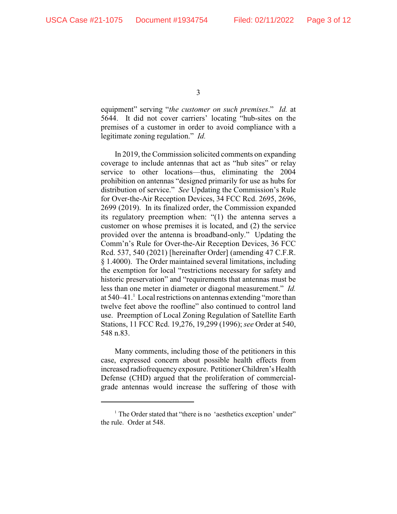equipment" serving "*the customer on such premises*." *Id.* at 5644. It did not cover carriers' locating "hub-sites on the premises of a customer in order to avoid compliance with a legitimate zoning regulation." *Id.*

In 2019, the Commission solicited comments on expanding coverage to include antennas that act as "hub sites" or relay service to other locations—thus, eliminating the 2004 prohibition on antennas "designed primarily for use as hubs for distribution of service." *See* Updating the Commission's Rule for Over-the-Air Reception Devices, 34 FCC Rcd. 2695, 2696, 2699 (2019). In its finalized order, the Commission expanded its regulatory preemption when: "(1) the antenna serves a customer on whose premises it is located, and (2) the service provided over the antenna is broadband-only." Updating the Comm'n's Rule for Over-the-Air Reception Devices, 36 FCC Rcd. 537, 540 (2021) [hereinafter Order] (amending 47 C.F.R. § 1.4000). The Order maintained several limitations, including the exemption for local "restrictions necessary for safety and historic preservation" and "requirements that antennas must be less than one meter in diameter or diagonal measurement." *Id.* at 540–41. Local restrictions on antennas extending "more than <sup>1</sup> twelve feet above the roofline" also continued to control land use. Preemption of Local Zoning Regulation of Satellite Earth Stations, 11 FCC Rcd. 19,276, 19,299 (1996); *see* Order at 540, 548 n.83.

Many comments, including those of the petitioners in this case, expressed concern about possible health effects from increased radiofrequency exposure. Petitioner Children's Health Defense (CHD) argued that the proliferation of commercialgrade antennas would increase the suffering of those with

 $<sup>1</sup>$  The Order stated that "there is no 'aesthetics exception' under"</sup> the rule. Order at 548.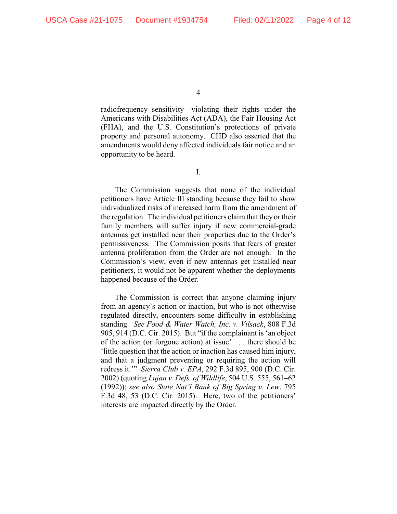radiofrequency sensitivity—violating their rights under the Americans with Disabilities Act (ADA), the Fair Housing Act (FHA), and the U.S. Constitution's protections of private property and personal autonomy. CHD also asserted that the amendments would deny affected individuals fair notice and an opportunity to be heard.

I.

The Commission suggests that none of the individual petitioners have Article III standing because they fail to show individualized risks of increased harm from the amendment of the regulation. The individual petitioners claim that they or their family members will suffer injury if new commercial-grade antennas get installed near their properties due to the Order's permissiveness. The Commission posits that fears of greater antenna proliferation from the Order are not enough. In the Commission's view, even if new antennas get installed near petitioners, it would not be apparent whether the deployments happened because of the Order.

The Commission is correct that anyone claiming injury from an agency's action or inaction, but who is not otherwise regulated directly, encounters some difficulty in establishing standing. *See Food & Water Watch, Inc. v. Vilsack*, 808 F.3d 905, 914 (D.C. Cir. 2015). But "if the complainant is 'an object of the action (or forgone action) at issue' . . . there should be 'little question that the action or inaction has caused him injury, and that a judgment preventing or requiring the action will redress it.'" *Sierra Club v. EPA*, 292 F.3d 895, 900 (D.C. Cir. 2002) (quoting *Lujan v. Defs. of Wildlife*, 504 U.S. 555, 561–62 (1992)); *see also State Nat'l Bank of Big Spring v. Lew*, 795 F.3d 48, 53 (D.C. Cir. 2015). Here, two of the petitioners' interests are impacted directly by the Order.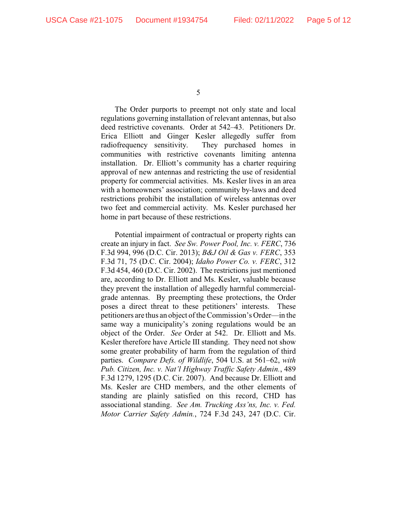The Order purports to preempt not only state and local regulations governing installation of relevant antennas, but also deed restrictive covenants. Order at 542–43. Petitioners Dr. Erica Elliott and Ginger Kesler allegedly suffer from radiofrequency sensitivity. They purchased homes in communities with restrictive covenants limiting antenna installation. Dr. Elliott's community has a charter requiring approval of new antennas and restricting the use of residential property for commercial activities. Ms. Kesler lives in an area with a homeowners' association; community by-laws and deed restrictions prohibit the installation of wireless antennas over two feet and commercial activity. Ms. Kesler purchased her home in part because of these restrictions.

Potential impairment of contractual or property rights can create an injury in fact. *See Sw. Power Pool, Inc. v. FERC*, 736 F.3d 994, 996 (D.C. Cir. 2013); *B&J Oil & Gas v. FERC*, 353 F.3d 71, 75 (D.C. Cir. 2004); *Idaho Power Co. v. FERC*, 312 F.3d 454, 460 (D.C. Cir. 2002). The restrictions just mentioned are, according to Dr. Elliott and Ms. Kesler, valuable because they prevent the installation of allegedly harmful commercialgrade antennas. By preempting these protections, the Order poses a direct threat to these petitioners' interests. These petitioners are thus an object of the Commission's Order—in the same way a municipality's zoning regulations would be an object of the Order. *See* Order at 542. Dr. Elliott and Ms. Kesler therefore have Article III standing. They need not show some greater probability of harm from the regulation of third parties. *Compare Defs. of Wildlife*, 504 U.S. at 561–62, *with Pub. Citizen, Inc. v. Nat'l Highway Traffic Safety Admin.*, 489 F.3d 1279, 1295 (D.C. Cir. 2007). And because Dr. Elliott and Ms. Kesler are CHD members, and the other elements of standing are plainly satisfied on this record, CHD has associational standing. *See Am. Trucking Ass'ns, Inc. v. Fed. Motor Carrier Safety Admin.*, 724 F.3d 243, 247 (D.C. Cir.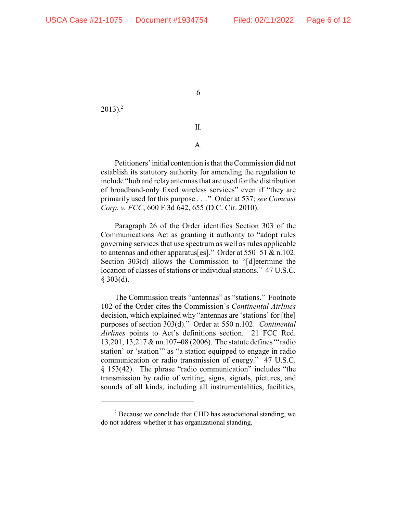$2013$ ).<sup>2</sup>

II.

## A.

Petitioners' initial contention is that the Commission did not establish its statutory authority for amending the regulation to include "hub and relay antennas that are used for the distribution of broadband-only fixed wireless services" even if "they are primarily used for this purpose . . .." Order at 537; *see Comcast Corp. v. FCC*, 600 F.3d 642, 655 (D.C. Cir. 2010).

Paragraph 26 of the Order identifies Section 303 of the Communications Act as granting it authority to "adopt rules governing services that use spectrum as well as rules applicable to antennas and other apparatus[es]." Order at 550–51 & n.102. Section 303(d) allows the Commission to "[d]etermine the location of classes of stations or individual stations." 47 U.S.C.  $$303(d).$ 

The Commission treats "antennas" as "stations." Footnote 102 of the Order cites the Commission's *Continental Airlines* decision, which explained why "antennas are 'stations' for [the] purposes of section 303(d)." Order at 550 n.102. *Continental Airlines* points to Act's definitions section. 21 FCC Rcd. 13,201, 13,217 & nn.107–08 (2006). The statute defines "'radio station' or 'station'" as "a station equipped to engage in radio communication or radio transmission of energy." 47 U.S.C. § 153(42). The phrase "radio communication" includes "the transmission by radio of writing, signs, signals, pictures, and sounds of all kinds, including all instrumentalities, facilities,

 $P<sup>2</sup>$  Because we conclude that CHD has associational standing, we do not address whether it has organizational standing.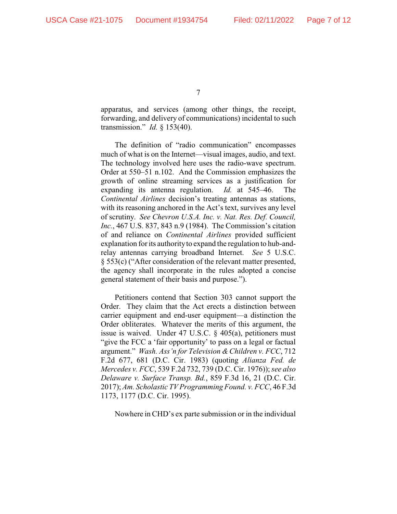apparatus, and services (among other things, the receipt, forwarding, and delivery of communications) incidental to such transmission." *Id.* § 153(40).

The definition of "radio communication" encompasses much of what is on the Internet—visual images, audio, and text. The technology involved here uses the radio-wave spectrum. Order at 550–51 n.102. And the Commission emphasizes the growth of online streaming services as a justification for expanding its antenna regulation. *Id.* at 545–46. The *Continental Airlines* decision's treating antennas as stations, with its reasoning anchored in the Act's text, survives any level of scrutiny. *See Chevron U.S.A. Inc. v. Nat. Res. Def. Council, Inc.*, 467 U.S. 837, 843 n.9 (1984). The Commission's citation of and reliance on *Continental Airlines* provided sufficient explanation for its authorityto expand the regulation to hub-andrelay antennas carrying broadband Internet. *See* 5 U.S.C. § 553(c) ("After consideration of the relevant matter presented, the agency shall incorporate in the rules adopted a concise general statement of their basis and purpose.").

Petitioners contend that Section 303 cannot support the Order. They claim that the Act erects a distinction between carrier equipment and end-user equipment—a distinction the Order obliterates. Whatever the merits of this argument, the issue is waived. Under 47 U.S.C. § 405(a), petitioners must "give the FCC a 'fair opportunity' to pass on a legal or factual argument." *Wash. Ass'n for Television &Children v. FCC*, 712 F.2d 677, 681 (D.C. Cir. 1983) (quoting *Alianza Fed. de Mercedes v. FCC*, 539 F.2d 732, 739 (D.C. Cir. 1976)); *see also Delaware v. Surface Transp. Bd.*, 859 F.3d 16, 21 (D.C. Cir. 2017); *Am. Scholastic TV Programming Found. v. FCC*, 46 F.3d 1173, 1177 (D.C. Cir. 1995).

Nowhere in CHD's ex parte submission or in the individual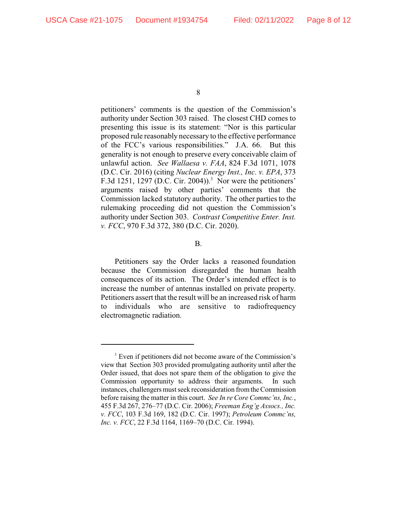petitioners' comments is the question of the Commission's authority under Section 303 raised. The closest CHD comes to presenting this issue is its statement: "Nor is this particular proposed rule reasonably necessary to the effective performance of the FCC's various responsibilities." J.A. 66. But this generality is not enough to preserve every conceivable claim of unlawful action. *See Wallaesa v. FAA*, 824 F.3d 1071, 1078 (D.C. Cir. 2016) (citing *Nuclear Energy Inst., Inc. v. EPA*, 373 F.3d 1251, 1297 (D.C. Cir. 2004)).<sup>3</sup> Nor were the petitioners' arguments raised by other parties' comments that the Commission lacked statutory authority. The other parties to the rulemaking proceeding did not question the Commission's authority under Section 303. *Contrast Competitive Enter. Inst. v. FCC*, 970 F.3d 372, 380 (D.C. Cir. 2020).

B.

Petitioners say the Order lacks a reasoned foundation because the Commission disregarded the human health consequences of its action. The Order's intended effect is to increase the number of antennas installed on private property. Petitioners assert that the result will be an increased risk of harm to individuals who are sensitive to radiofrequency electromagnetic radiation.

<sup>&</sup>lt;sup>3</sup> Even if petitioners did not become aware of the Commission's view that Section 303 provided promulgating authority until after the Order issued, that does not spare them of the obligation to give the Commission opportunity to address their arguments. In such instances, challengers must seek reconsideration fromthe Commission before raising the matter in this court. *See In re Core Commc'ns, Inc.*, 455 F.3d 267, 276–77 (D.C. Cir. 2006); *Freeman Eng'g Assocs., Inc. v. FCC*, 103 F.3d 169, 182 (D.C. Cir. 1997); *Petroleum Commc'ns, Inc. v. FCC*, 22 F.3d 1164, 1169–70 (D.C. Cir. 1994).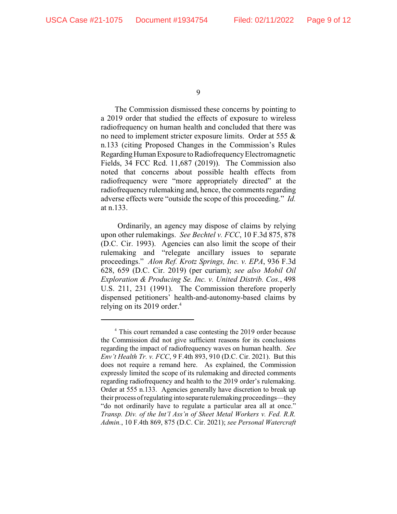The Commission dismissed these concerns by pointing to a 2019 order that studied the effects of exposure to wireless radiofrequency on human health and concluded that there was no need to implement stricter exposure limits. Order at 555 & n.133 (citing Proposed Changes in the Commission's Rules Regarding Human Exposure to Radiofrequency Electromagnetic Fields, 34 FCC Rcd. 11,687 (2019)). The Commission also noted that concerns about possible health effects from radiofrequency were "more appropriately directed" at the radiofrequency rulemaking and, hence, the comments regarding adverse effects were "outside the scope of this proceeding." *Id.* at n.133.

Ordinarily, an agency may dispose of claims by relying upon other rulemakings. *See Bechtel v. FCC*, 10 F.3d 875, 878 (D.C. Cir. 1993). Agencies can also limit the scope of their rulemaking and "relegate ancillary issues to separate proceedings." *Alon Ref. Krotz Springs, Inc. v. EPA*, 936 F.3d 628, 659 (D.C. Cir. 2019) (per curiam); *see also Mobil Oil Exploration & Producing Se. Inc. v. United Distrib. Cos.*, 498 U.S. 211, 231 (1991). The Commission therefore properly dispensed petitioners' health-and-autonomy-based claims by relying on its 2019 order.<sup>4</sup>

<sup>&</sup>lt;sup>4</sup> This court remanded a case contesting the 2019 order because the Commission did not give sufficient reasons for its conclusions regarding the impact of radiofrequency waves on human health. *See Env't Health Tr. v. FCC*, 9 F.4th 893, 910 (D.C. Cir. 2021). But this does not require a remand here. As explained, the Commission expressly limited the scope of its rulemaking and directed comments regarding radiofrequency and health to the 2019 order's rulemaking. Order at 555 n.133. Agencies generally have discretion to break up their process ofregulating into separate rulemaking proceedings—they "do not ordinarily have to regulate a particular area all at once." *Transp. Div. of the Int'l Ass'n of Sheet Metal Workers v. Fed. R.R. Admin.*, 10 F.4th 869, 875 (D.C. Cir. 2021); *see Personal Watercraft*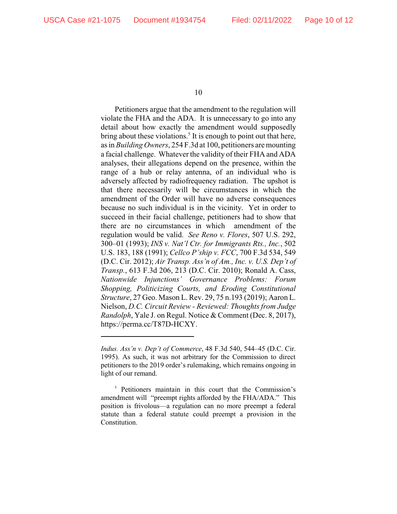Petitioners argue that the amendment to the regulation will violate the FHA and the ADA. It is unnecessary to go into any detail about how exactly the amendment would supposedly bring about these violations.<sup>5</sup> It is enough to point out that here, as in *Building Owners*, 254 F.3d at 100, petitioners aremounting a facial challenge. Whatever the validity of their FHA and ADA analyses, their allegations depend on the presence, within the range of a hub or relay antenna, of an individual who is adversely affected by radiofrequency radiation. The upshot is that there necessarily will be circumstances in which the amendment of the Order will have no adverse consequences because no such individual is in the vicinity. Yet in order to succeed in their facial challenge, petitioners had to show that there are no circumstances in which amendment of the regulation would be valid. *See Reno v. Flores*, 507 U.S. 292, 300–01 (1993); *INS v. Nat'l Ctr. for Immigrants Rts., Inc.*, 502 U.S. 183, 188 (1991); *Cellco P'ship v. FCC*, 700 F.3d 534, 549 (D.C. Cir. 2012); *Air Transp. Ass'n of Am., Inc. v. U.S. Dep't of Transp.*, 613 F.3d 206, 213 (D.C. Cir. 2010); Ronald A. Cass, *Nationwide Injunctions' Governance Problems: Forum Shopping, Politicizing Courts, and Eroding Constitutional Structure*, 27 Geo. Mason L. Rev. 29, 75 n.193 (2019); Aaron L. Nielson, *D.C. Circuit Review - Reviewed: Thoughts from Judge Randolph*, Yale J. on Regul. Notice & Comment (Dec. 8, 2017), https://perma.cc/T87D-HCXY.

*Indus. Ass'n v. Dep't of Commerce*, 48 F.3d 540, 544–45 (D.C. Cir. 1995). As such, it was not arbitrary for the Commission to direct petitioners to the 2019 order's rulemaking, which remains ongoing in light of our remand.

 $5$  Petitioners maintain in this court that the Commission's amendment will "preempt rights afforded by the FHA/ADA." This position is frivolous—a regulation can no more preempt a federal statute than a federal statute could preempt a provision in the Constitution.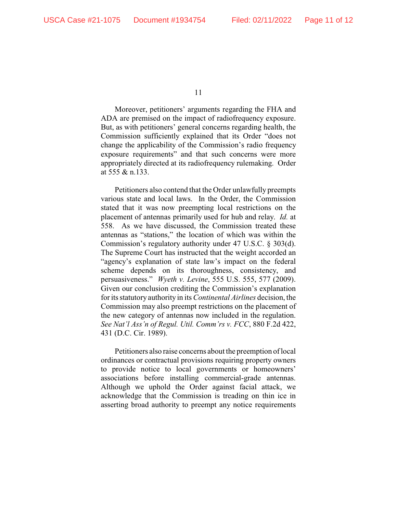Moreover, petitioners' arguments regarding the FHA and ADA are premised on the impact of radiofrequency exposure. But, as with petitioners' general concerns regarding health, the Commission sufficiently explained that its Order "does not change the applicability of the Commission's radio frequency exposure requirements" and that such concerns were more appropriately directed at its radiofrequency rulemaking. Order at 555 & n.133.

Petitioners also contend that the Order unlawfully preempts various state and local laws. In the Order, the Commission stated that it was now preempting local restrictions on the placement of antennas primarily used for hub and relay. *Id.* at 558. As we have discussed, the Commission treated these antennas as "stations," the location of which was within the Commission's regulatory authority under 47 U.S.C. § 303(d). The Supreme Court has instructed that the weight accorded an "agency's explanation of state law's impact on the federal scheme depends on its thoroughness, consistency, and persuasiveness." *Wyeth v. Levine*, 555 U.S. 555, 577 (2009). Given our conclusion crediting the Commission's explanation for its statutory authority in its *Continental Airlines* decision, the Commission may also preempt restrictions on the placement of the new category of antennas now included in the regulation. *See Nat'l Ass'n of Regul. Util. Comm'rs v. FCC*, 880 F.2d 422, 431 (D.C. Cir. 1989).

Petitioners also raise concerns about the preemption of local ordinances or contractual provisions requiring property owners to provide notice to local governments or homeowners' associations before installing commercial-grade antennas. Although we uphold the Order against facial attack, we acknowledge that the Commission is treading on thin ice in asserting broad authority to preempt any notice requirements